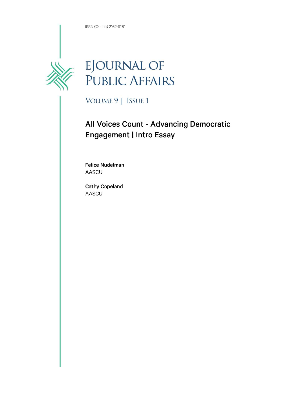ISSN (Online) 2162-9161



## EJOURNAL OF<br>PUBLIC AFFAIRS

VOLUME 9 | ISSUE 1

## All Voices Count - Advancing Democratic **Engagement | Intro Essay**

**Felice Nudelman** AASCU

**Cathy Copeland AASCU**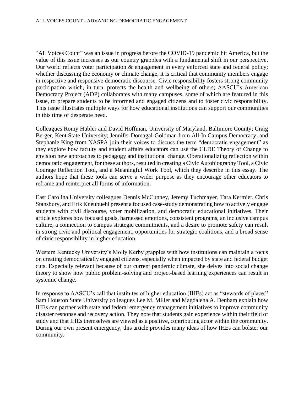"All Voices Count" was an issue in progress before the COVID-19 pandemic hit America, but the value of this issue increases as our country grapples with a fundamental shift in our perspective. Our world reflects voter participation & engagement in every enforced state and federal policy; whether discussing the economy or climate change, it is critical that community members engage in respective and responsive democratic discourse. Civic responsibility fosters strong community participation which, in turn, protects the health and wellbeing of others; AASCU's American Democracy Project (ADP) collaborates with many campuses, some of which are featured in this issue, to prepare students to be informed and engaged citizens and to foster civic responsibility. This issue illustrates multiple ways for how educational institutions can support our communities in this time of desperate need.

Colleagues Romy Hübler and David Hoffman, University of Maryland, Baltimore County; Craig Berger, Kent State University; Jennifer Domagal-Goldman from All-In Campus Democracy; and Stephanie King from NASPA join their voices to discuss the term "democratic engagement" as they explore how faculty and student affairs educators can use the CLDE Theory of Change to envision new approaches to pedagogy and institutional change. Operationalizing reflection within democratic engagement, for these authors, resulted in creating a Civic Autobiography Tool, a Civic Courage Reflection Tool, and a Meaningful Work Tool, which they describe in this essay. The authors hope that these tools can serve a wider purpose as they encourage other educators to reframe and reinterpret all forms of information.

East Carolina University colleagues Dennis McCunney, Jeremy Tuchmayer, Tara Kermiet, Chris Stansbury, and Erik Kneubuehl present a focused case-study demonstrating how to actively engage students with civil discourse, voter mobilization, and democratic educational initiatives. Their article explores how focused goals, harnessed emotions, consistent programs, an inclusive campus culture, a connection to campus strategic commitments, and a desire to promote safety can result in strong civic and political engagement, opportunities for strategic coalitions, and a broad sense of civic responsibility in higher education.

Western Kentucky University's Molly Kerby grapples with how institutions can maintain a focus on creating democratically engaged citizens, especially when impacted by state and federal budget cuts. Especially relevant because of our current pandemic climate, she delves into social change theory to show how public problem-solving and project-based learning experiences can result in systemic change.

In response to AASCU's call that institutes of higher education (IHEs) act as "stewards of place," Sam Houston State University colleagues Lee M. Miller and Magdalena A. Denham explain how IHEs can partner with state and federal emergency management initiatives to improve community disaster response and recovery action. They note that students gain experience within their field of study and that IHEs themselves are viewed as a positive, contributing actor within the community. During our own present emergency, this article provides many ideas of how IHEs can bolster our community.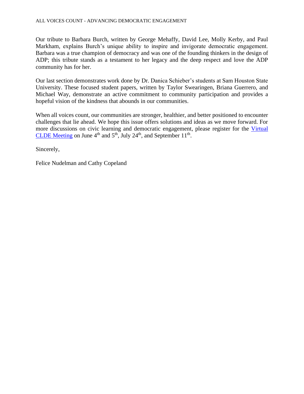## ALL VOICES COUNT - ADVANCING DEMOCRATIC ENGAGEMENT

Our tribute to Barbara Burch, written by George Mehaffy, David Lee, Molly Kerby, and Paul Markham, explains Burch's unique ability to inspire and invigorate democratic engagement. Barbara was a true champion of democracy and was one of the founding thinkers in the design of ADP; this tribute stands as a testament to her legacy and the deep respect and love the ADP community has for her.

Our last section demonstrates work done by Dr. Danica Schieber's students at Sam Houston State University. These focused student papers, written by Taylor Swearingen, Briana Guerrero, and Michael Way, demonstrate an active commitment to community participation and provides a hopeful vision of the kindness that abounds in our communities.

When all voices count, our communities are stronger, healthier, and better positioned to encounter challenges that lie ahead. We hope this issue offers solutions and ideas as we move forward. For more discussions on civic learning and democratic engagement, please register for the [Virtual](https://www.aascu.org/meetings/CLDE20/)  [CLDE Meeting](https://www.aascu.org/meetings/CLDE20/) on June  $4<sup>th</sup>$  and  $5<sup>th</sup>$ , July 24<sup>th</sup>, and September 11<sup>th</sup>.

Sincerely,

Felice Nudelman and Cathy Copeland